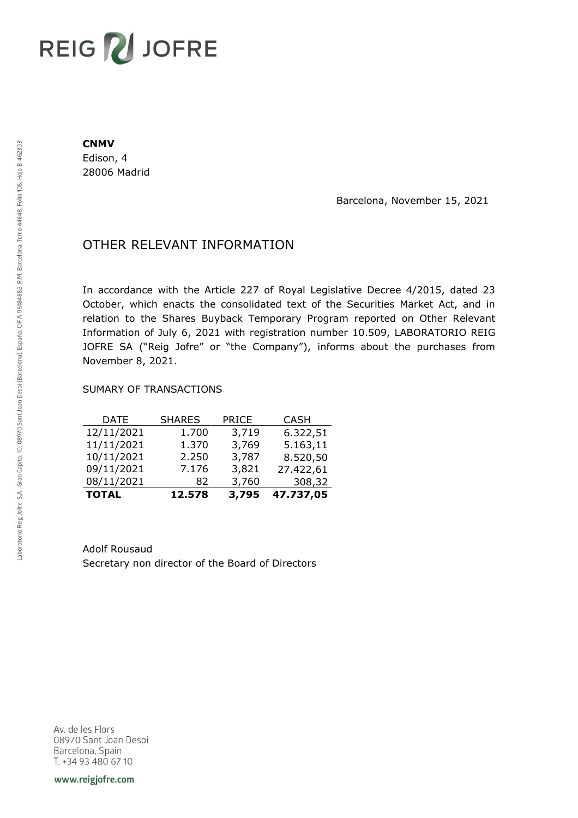# REIG V JOFRE

#### **CNMV**

Edison, 4 28006 Madrid

Barcelona, November 15, 2021

## OTHER RELEVANT INFORMATION

In accordance with the Article 227 of Royal Legislative Decree 4/2015, dated 23 October, which enacts the consolidated text of the Securities Market Act, and in relation to the Shares Buyback Temporary Program reported on Other Relevant Information of July 6, 2021 with registration number 10.509, LABORATORIO REIG JOFRE SA ("Reig Jofre" or "the Company"), informs about the purchases from November 8, 2021.

### SUMARY OF TRANSACTIONS

| <b>TOTAL</b> | 12.578        | 3,795        | 47.737,05   |
|--------------|---------------|--------------|-------------|
| 08/11/2021   | 82            | 3,760        | 308,32      |
| 09/11/2021   | 7.176         | 3,821        | 27.422,61   |
| 10/11/2021   | 2.250         | 3,787        | 8.520,50    |
| 11/11/2021   | 1.370         | 3,769        | 5.163,11    |
| 12/11/2021   | 1.700         | 3,719        | 6.322,51    |
| DATE         | <b>SHARES</b> | <b>PRICE</b> | <b>CASH</b> |

Adolf Rousaud Secretary non director of the Board of Directors

Av. de les Flors 08970 Sant Joan Despi Barcelona, Spain T. +34 93 480 67 10

www.reigjofre.com